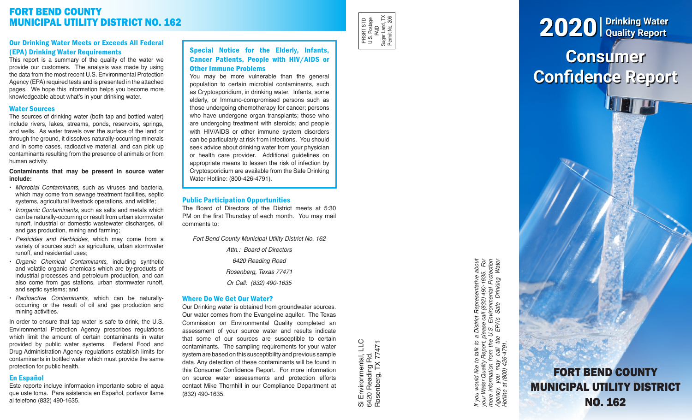# FORT BEND COUNTY MUNICIPAL UTILITY DISTRICT NO. 162

# Our Drinking Water Meets or Exceeds All Federal (EPA) Drinking Water Requirements

This report is a summary of the quality of the water we provide our customers. The analysis was made by using the data from the most recent U.S. Environmental Protection Agency (EPA) required tests and is presented in the attached pages. We hope this information helps you become more knowledgeable about what's in your drinking water.

### Water Sources

The sources of drinking water (both tap and bottled water) include rivers, lakes, streams, ponds, reservoirs, springs, and wells. As water travels over the surface of the land or through the ground, it dissolves naturally-occurring minerals and in some cases, radioactive material, and can pick up contaminants resulting from the presence of animals or from human activity.

#### **Contaminants that may be present in source water include:**

- *Microbial Contaminants*, such as viruses and bacteria, which may come from sewage treatment facilities, septic systems, agricultural livestock operations, and wildlife;
- *Inorganic Contaminants*, such as salts and metals which can be naturally-occurring or result from urban stormwater runoff, industrial or domestic wastewater discharges, oil and gas production, mining and farming;
- *Pesticides and Herbicides*, which may come from a variety of sources such as agriculture, urban stormwater runoff, and residential uses;
- *Organic Chemical Contaminants*, including synthetic and volatile organic chemicals which are by-products of industrial processes and petroleum production, and can also come from gas stations, urban stormwater runoff, and septic systems; and
- *Radioactive Contaminants*, which can be naturallyoccurring or the result of oil and gas production and mining activities.

In order to ensure that tap water is safe to drink, the U.S. Environmental Protection Agency prescribes regulations which limit the amount of certain contaminants in water provided by public water systems. Federal Food and Drug Administration Agency regulations establish limits for contaminants in bottled water which must provide the same protection for public health.

# En Español

Este reporte incluye informacion importante sobre el aqua que uste toma. Para asistencia en Español, porfavor llame al telefono (832) 490-1635.

# Special Notice for the Elderly, Infants, Cancer Patients, People with HIV/AIDS or Other Immune Problems

You may be more vulnerable than the general population to certain microbial contaminants, such as Cryptosporidium, in drinking water. Infants, some elderly, or Immuno-compromised persons such as those undergoing chemotherapy for cancer; persons who have undergone organ transplants; those who are undergoing treatment with steroids; and people with HIV/AIDS or other immune system disorders can be particularly at risk from infections. You should seek advice about drinking water from your physician or health care provider. Additional guidelines on appropriate means to lessen the risk of infection by Cryptosporidium are available from the Safe Drinking Water Hotline: (800-426-4791).

# Public Participation Opportunities

The Board of Directors of the District meets at 5:30 PM on the first Thursday of each month. You may mail comments to:

*Fort Bend County Municipal Utility District No. 162*

*Attn.: Board of Directors 6420 Reading Road Rosenberg, Texas 77471 Or Call: (832) 490-1635*

#### Where Do We Get Our Water?

Our Drinking water is obtained from groundwater sources. Our water comes from the Evangeline aquifer. The Texas Commission on Environmental Quality completed an assessment of your source water and results indicate that some of our sources are susceptible to certain contaminants. The sampling requirements for your water system are based on this susceptibility and previous sample data. Any detection of these contaminants will be found in this Consumer Confidence Report. For more information on source water assessments and protection efforts contact Mike Thornhill in our Compliance Department at (832) 490-1635.

Si Environmental, LLC<br>6420 Reading Rd.<br>Rosenberg, TX 77471 Si Environmental, LLC Rosenberg, TX 77471 6420 Reading Rd.

If you would like to talk to a District Representative about<br>your Water Quality Report, please call (832) 490-1635. For<br>more information from the U.S. Environmental Protection<br>Agency, you may call the EPA's Safe Drinking W *If you would like to talk to a District Representative about your Water Quality Report, please call (832) 490-1635. For more information from the U.S. Environmental Protection Agency, you may call the EPA's Safe Drinking Water Hotline at (800) 426-4791.*

**Consumer** 

2020 **Drinking Water Quality Report**

**Confidence Report**

FORT BEND COUNTY MUNICIPAL UTILITY DISTRICT NO. 162